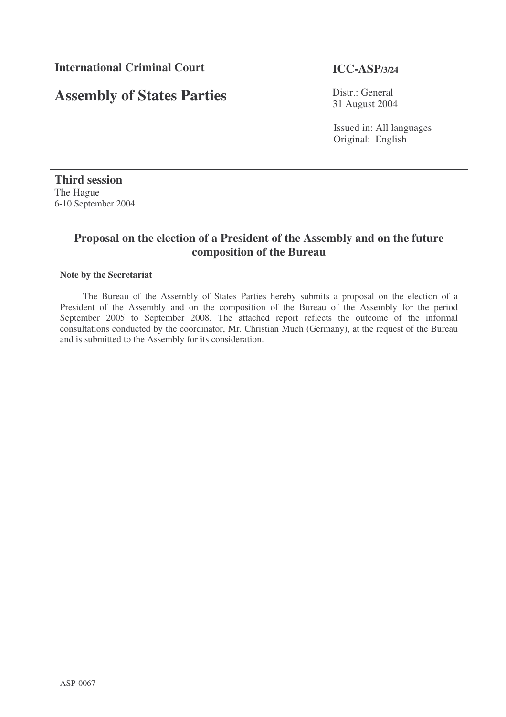# **Assembly of States Parties**

Distr.: General 31 August 2004

Issued in: All languages Original: English

**Third session** The Hague 6-10 September 2004

### **Proposal on the election of a President of the Assembly and on the future composition of the Bureau**

#### **Note by the Secretariat**

The Bureau of the Assembly of States Parties hereby submits a proposal on the election of a President of the Assembly and on the composition of the Bureau of the Assembly for the period September 2005 to September 2008. The attached report reflects the outcome of the informal consultations conducted by the coordinator, Mr. Christian Much (Germany), at the request of the Bureau and is submitted to the Assembly for its consideration.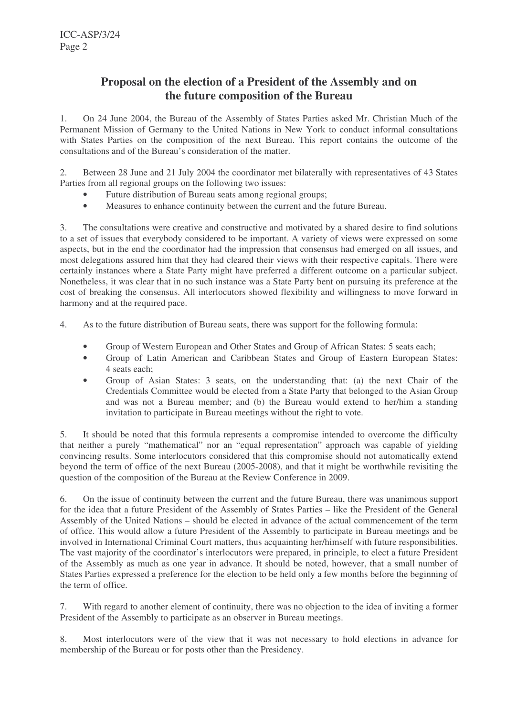## **Proposal on the election of a President of the Assembly and on the future composition of the Bureau**

1. On 24 June 2004, the Bureau of the Assembly of States Parties asked Mr. Christian Much of the Permanent Mission of Germany to the United Nations in New York to conduct informal consultations with States Parties on the composition of the next Bureau. This report contains the outcome of the consultations and of the Bureau's consideration of the matter.

2. Between 28 June and 21 July 2004 the coordinator met bilaterally with representatives of 43 States Parties from all regional groups on the following two issues:

- Future distribution of Bureau seats among regional groups;
- Measures to enhance continuity between the current and the future Bureau.

3. The consultations were creative and constructive and motivated by a shared desire to find solutions to a set of issues that everybody considered to be important. A variety of views were expressed on some aspects, but in the end the coordinator had the impression that consensus had emerged on all issues, and most delegations assured him that they had cleared their views with their respective capitals. There were certainly instances where a State Party might have preferred a different outcome on a particular subject. Nonetheless, it was clear that in no such instance was a State Party bent on pursuing its preference at the cost of breaking the consensus. All interlocutors showed flexibility and willingness to move forward in harmony and at the required pace.

4. As to the future distribution of Bureau seats, there was support for the following formula:

- Group of Western European and Other States and Group of African States: 5 seats each;
- Group of Latin American and Caribbean States and Group of Eastern European States: 4 seats each;
- Group of Asian States: 3 seats, on the understanding that: (a) the next Chair of the Credentials Committee would be elected from a State Party that belonged to the Asian Group and was not a Bureau member; and (b) the Bureau would extend to her/him a standing invitation to participate in Bureau meetings without the right to vote.

5. It should be noted that this formula represents a compromise intended to overcome the difficulty that neither a purely "mathematical" nor an "equal representation" approach was capable of yielding convincing results. Some interlocutors considered that this compromise should not automatically extend beyond the term of office of the next Bureau (2005-2008), and that it might be worthwhile revisiting the question of the composition of the Bureau at the Review Conference in 2009.

6. On the issue of continuity between the current and the future Bureau, there was unanimous support for the idea that a future President of the Assembly of States Parties – like the President of the General Assembly of the United Nations – should be elected in advance of the actual commencement of the term of office. This would allow a future President of the Assembly to participate in Bureau meetings and be involved in International Criminal Court matters, thus acquainting her/himself with future responsibilities. The vast majority of the coordinator's interlocutors were prepared, in principle, to elect a future President of the Assembly as much as one year in advance. It should be noted, however, that a small number of States Parties expressed a preference for the election to be held only a few months before the beginning of the term of office.

7. With regard to another element of continuity, there was no objection to the idea of inviting a former President of the Assembly to participate as an observer in Bureau meetings.

8. Most interlocutors were of the view that it was not necessary to hold elections in advance for membership of the Bureau or for posts other than the Presidency.